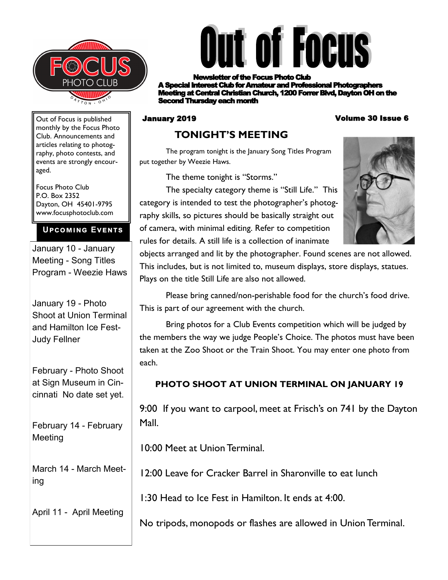



r of the Focus Photo Club **A Read Interest Club for Amateur and Professional Photographers ing at Central Christian Church, 1200 Forrer Blvd, Dayton OH on the** Second Thursday each month

#### January 2019 Volume 30 Issue 6

Out of Focus is published monthly by the Focus Photo Club. Announcements and articles relating to photography, photo contests, and events are strongly encouraged.

Focus Photo Club P.O. Box 2352 Dayton, OH 45401-9795 www.focusphotoclub.com

#### **Upcoming Events**

January 10 - January Meeting - Song Titles Program - Weezie Haws

January 19 - Photo Shoot at Union Terminal and Hamilton Ice Fest-Judy Fellner

February - Photo Shoot at Sign Museum in Cincinnati No date set yet.

February 14 - February Meeting

March 14 - March Meeting

April 11 - April Meeting

### **TONIGHT'S MEETING**

The program tonight is the January Song Titles Program put together by Weezie Haws.

The theme tonight is "Storms."

The specialty category theme is "Still Life." This category is intended to test the photographer's photography skills, so pictures should be basically straight out of camera, with minimal editing. Refer to competition rules for details. A still life is a collection of inanimate



objects arranged and lit by the photographer. Found scenes are not allowed. This includes, but is not limited to, museum displays, store displays, statues. Plays on the title Still Life are also not allowed.

Please bring canned/non-perishable food for the church's food drive. This is part of our agreement with the church.

Bring photos for a Club Events competition which will be judged by the members the way we judge People's Choice. The photos must have been taken at the Zoo Shoot or the Train Shoot. You may enter one photo from each.

### **PHOTO SHOOT AT UNION TERMINAL ON JANUARY 19**

9:00 If you want to carpool, meet at Frisch's on 741 by the Dayton Mall.

10:00 Meet at Union Terminal.

12:00 Leave for Cracker Barrel in Sharonville to eat lunch

1:30 Head to Ice Fest in Hamilton. It ends at 4:00.

No tripods, monopods or flashes are allowed in Union Terminal.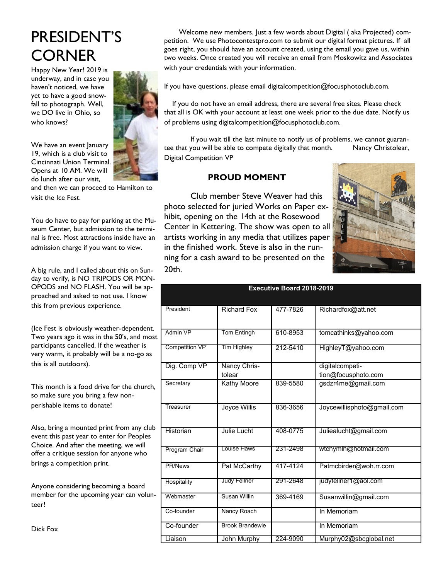# PRESIDENT'S **CORNER**

Happy New Year! 2019 is underway, and in case you haven't noticed, we have yet to have a good snowfall to photograph. Well, we DO live in Ohio, so who knows?

We have an event January 19, which is a club visit to Cincinnati Union Terminal. Opens at 10 AM. We will do lunch after our visit,

and then we can proceed to Hamilton to visit the Ice Fest.

You do have to pay for parking at the Museum Center, but admission to the terminal is free. Most attractions inside have an admission charge if you want to view.

A big rule, and I called about this on Sunday to verify, is NO TRIPODS OR MON-OPODS and NO FLASH. You will be approached and asked to not use. I know this from previous experience.

(Ice Fest is obviously weather-dependent. Two years ago it was in the 50's, and most participants cancelled. If the weather is very warm, it probably will be a no-go as this is all outdoors).

This month is a food drive for the church, so make sure you bring a few nonperishable items to donate!

Also, bring a mounted print from any club event this past year to enter for Peoples Choice. And after the meeting, we will offer a critique session for anyone who brings a competition print.

Anyone considering becoming a board member for the upcoming year can volunteer!

Dick Fox

 Welcome new members. Just a few words about Digital ( aka Projected) competition. We use Photocontestpro.com to submit our digital format pictures. If all goes right, you should have an account created, using the email you gave us, within two weeks. Once created you will receive an email from Moskowitz and Associates with your credentials with your information.

If you have questions, please email digitalcompetition@focusphotoclub.com.

 If you do not have an email address, there are several free sites. Please check that all is OK with your account at least one week prior to the due date. Notify us of problems using digitalcompetition@focusphotoclub.com.

If you wait till the last minute to notify us of problems, we cannot guarantee that you will be able to compete digitally that month. Nancy Christolear, Digital Competition VP

#### **PROUD MOMENT**

Club member Steve Weaver had this photo selected for juried Works on Paper exhibit, opening on the 14th at the Rosewood Center in Kettering. The show was open to all artists working in any media that utilizes paper in the finished work. Steve is also in the running for a cash award to be presented on the 20th.



| <b>Executive Board 2018-2019</b> |                        |          |                            |  |
|----------------------------------|------------------------|----------|----------------------------|--|
|                                  |                        |          |                            |  |
| President                        | <b>Richard Fox</b>     | 477-7826 | Richardfox@att.net         |  |
|                                  |                        |          |                            |  |
| Admin VP                         | <b>Tom Entingh</b>     | 610-8953 | tomcathinks@yahoo.com      |  |
| <b>Competition VP</b>            | <b>Tim Highley</b>     | 212-5410 | HighleyT@yahoo.com         |  |
| Dig. Comp VP                     | Nancy Chris-           |          | digitalcompeti-            |  |
|                                  | tolear                 |          | tion@focusphoto.com        |  |
| Secretary                        | <b>Kathy Moore</b>     | 839-5580 | gsdzr4me@gmail.com         |  |
| Treasurer                        | Joyce Willis           | 836-3656 | Joycewillisphoto@gmail.com |  |
| Historian                        | Julie Lucht            | 408-0775 | Juliealucht@gmail.com      |  |
| Program Chair                    | Louise Haws            | 231-2498 | wtchymlh@hotmail.com       |  |
| <b>PR/News</b>                   | Pat McCarthy           | 417-4124 | Patmcbirder@woh.rr.com     |  |
| Hospitality                      | <b>Judy Fellner</b>    | 291-2648 | judyfellner1@aol.com       |  |
| Webmaster                        | Susan Willin           | 369-4169 | Susanwillin@gmail.com      |  |
| Co-founder                       | Nancy Roach            |          | In Memoriam                |  |
| Co-founder                       | <b>Brook Brandewie</b> |          | In Memoriam                |  |
| Liaison                          | John Murphy            | 224-9090 | Murphy02@sbcglobal.net     |  |

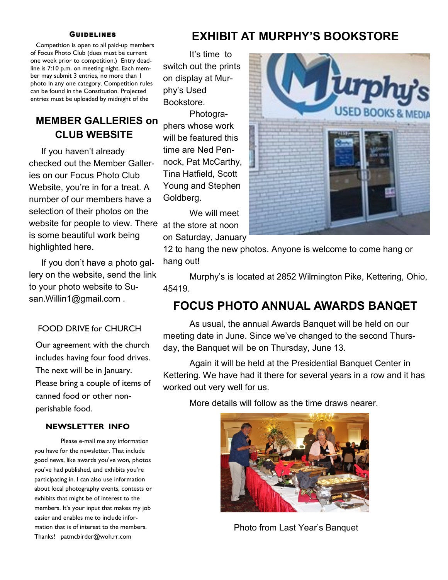#### **GUIDELINES**

 Competition is open to all paid-up members of Focus Photo Club (dues must be current one week prior to competition.) Entry deadline is 7:10 p.m. on meeting night. Each member may submit 3 entries, no more than 1 photo in any one category. Competition rules can be found in the Constitution. Projected entries must be uploaded by midnight of the

### **MEMBER GALLERIES on CLUB WEBSITE**

 If you haven't already checked out the Member Galleries on our Focus Photo Club Website, you're in for a treat. A number of our members have a selection of their photos on the website for people to view. There is some beautiful work being highlighted here.

 If you don't have a photo gallery on the website, send the link to your photo website to Susan.Willin1@gmail.com .

#### FOOD DRIVE for CHURCH

Our agreement with the church includes having four food drives. The next will be in January. Please bring a couple of items of canned food or other nonperishable food.

#### **NEWSLETTER INFO**

Please e-mail me any information you have for the newsletter. That include good news, like awards you've won, photos you've had published, and exhibits you're participating in. I can also use information about local photography events, contests or exhibits that might be of interest to the members. It's your input that makes my job easier and enables me to include information that is of interest to the members. Thanks! patmcbirder@woh.rr.com

### **EXHIBIT AT MURPHY'S BOOKSTORE**

It's time to switch out the prints on display at Murphy's Used Bookstore.

Photographers whose work will be featured this time are Ned Pennock, Pat McCarthy, Tina Hatfield, Scott Young and Stephen Goldberg.

We will meet at the store at noon on Saturday, January



12 to hang the new photos. Anyone is welcome to come hang or hang out!

Murphy's is located at 2852 Wilmington Pike, Kettering, Ohio, 45419.

### **FOCUS PHOTO ANNUAL AWARDS BANQET**

As usual, the annual Awards Banquet will be held on our meeting date in June. Since we've changed to the second Thursday, the Banquet will be on Thursday, June 13.

Again it will be held at the Presidential Banquet Center in Kettering. We have had it there for several years in a row and it has worked out very well for us.

More details will follow as the time draws nearer.



Photo from Last Year's Banquet